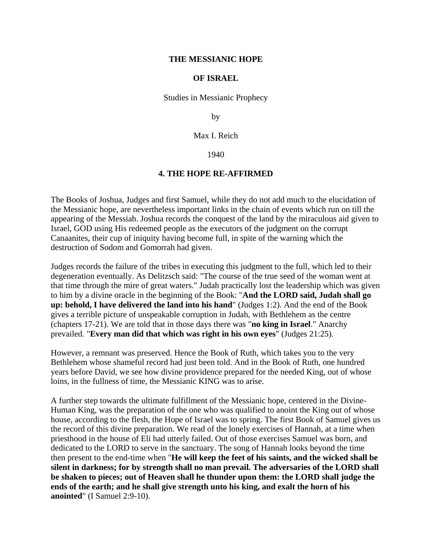## **THE MESSIANIC HOPE**

## **OF ISRAEL**

Studies in Messianic Prophecy

by

Max I. Reich

1940

## **4. THE HOPE RE-AFFIRMED**

The Books of Joshua, Judges and first Samuel, while they do not add much to the elucidation of the Messianic hope, are nevertheless important links in the chain of events which run on till the appearing of the Messiah. Joshua records the conquest of the land by the miraculous aid given to Israel, GOD using His redeemed people as the executors of the judgment on the corrupt Canaanites, their cup of iniquity having become full, in spite of the warning which the destruction of Sodom and Gomorrah had given.

Judges records the failure of the tribes in executing this judgment to the full, which led to their degeneration eventually. As Delitzsch said: "The course of the true seed of the woman went at that time through the mire of great waters." Judah practically lost the leadership which was given to him by a divine oracle in the beginning of the Book: "**And the LORD said, Judah shall go up: behold, I have delivered the land into his hand**" (Judges 1:2). And the end of the Book gives a terrible picture of unspeakable corruption in Judah, with Bethlehem as the centre (chapters 17-21). We are told that in those days there was "**no king in Israel**." Anarchy prevailed. "**Every man did that which was right in his own eyes**" (Judges 21:25).

However, a remnant was preserved. Hence the Book of Ruth, which takes you to the very Bethlehem whose shameful record had just been told. And in the Book of Ruth, one hundred years before David, we see how divine providence prepared for the needed King, out of whose loins, in the fullness of time, the Messianic KING was to arise.

A further step towards the ultimate fulfillment of the Messianic hope, centered in the Divine-Human King, was the preparation of the one who was qualified to anoint the King out of whose house, according to the flesh, the Hope of Israel was to spring. The first Book of Samuel gives us the record of this divine preparation. We read of the lonely exercises of Hannah, at a time when priesthood in the house of Eli had utterly failed. Out of those exercises Samuel was born, and dedicated to the LORD to serve in the sanctuary. The song of Hannah looks beyond the time then present to the end-time when "**He will keep the feet of his saints, and the wicked shall be silent in darkness; for by strength shall no man prevail. The adversaries of the LORD shall be shaken to pieces; out of Heaven shall he thunder upon them: the LORD shall judge the ends of the earth; and he shall give strength unto his king, and exalt the horn of his anointed**" (I Samuel 2:9-10).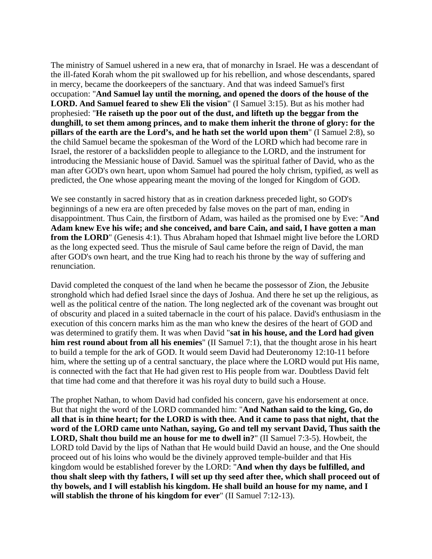The ministry of Samuel ushered in a new era, that of monarchy in Israel. He was a descendant of the ill-fated Korah whom the pit swallowed up for his rebellion, and whose descendants, spared in mercy, became the doorkeepers of the sanctuary. And that was indeed Samuel's first occupation: "**And Samuel lay until the morning, and opened the doors of the house of the LORD. And Samuel feared to shew Eli the vision**" (I Samuel 3:15). But as his mother had prophesied: "**He raiseth up the poor out of the dust, and lifteth up the beggar from the dunghill, to set them among princes, and to make them inherit the throne of glory: for the pillars of the earth are the Lord's, and he hath set the world upon them**" (I Samuel 2:8), so the child Samuel became the spokesman of the Word of the LORD which had become rare in Israel, the restorer of a backslidden people to allegiance to the LORD, and the instrument for introducing the Messianic house of David. Samuel was the spiritual father of David, who as the man after GOD's own heart, upon whom Samuel had poured the holy chrism, typified, as well as predicted, the One whose appearing meant the moving of the longed for Kingdom of GOD.

We see constantly in sacred history that as in creation darkness preceded light, so GOD's beginnings of a new era are often preceded by false moves on the part of man, ending in disappointment. Thus Cain, the firstborn of Adam, was hailed as the promised one by Eve: "**And Adam knew Eve his wife; and she conceived, and bare Cain, and said, I have gotten a man from the LORD**" (Genesis 4:1). Thus Abraham hoped that Ishmael might live before the LORD as the long expected seed. Thus the misrule of Saul came before the reign of David, the man after GOD's own heart, and the true King had to reach his throne by the way of suffering and renunciation.

David completed the conquest of the land when he became the possessor of Zion, the Jebusite stronghold which had defied Israel since the days of Joshua. And there he set up the religious, as well as the political centre of the nation. The long neglected ark of the covenant was brought out of obscurity and placed in a suited tabernacle in the court of his palace. David's enthusiasm in the execution of this concern marks him as the man who knew the desires of the heart of GOD and was determined to gratify them. It was when David "**sat in his house, and the Lord had given him rest round about from all his enemies**" (II Samuel 7:1), that the thought arose in his heart to build a temple for the ark of GOD. It would seem David had Deuteronomy 12:10-11 before him, where the setting up of a central sanctuary, the place where the LORD would put His name, is connected with the fact that He had given rest to His people from war. Doubtless David felt that time had come and that therefore it was his royal duty to build such a House.

The prophet Nathan, to whom David had confided his concern, gave his endorsement at once. But that night the word of the LORD commanded him: "**And Nathan said to the king, Go, do all that is in thine heart; for the LORD is with thee. And it came to pass that night, that the word of the LORD came unto Nathan, saying, Go and tell my servant David, Thus saith the LORD, Shalt thou build me an house for me to dwell in?**" (II Samuel 7:3-5). Howbeit, the LORD told David by the lips of Nathan that He would build David an house, and the One should proceed out of his loins who would be the divinely approved temple-builder and that His kingdom would be established forever by the LORD: "**And when thy days be fulfilled, and thou shalt sleep with thy fathers, I will set up thy seed after thee, which shall proceed out of thy bowels, and I will establish his kingdom. He shall build an house for my name, and I will stablish the throne of his kingdom for ever**" (II Samuel 7:12-13).